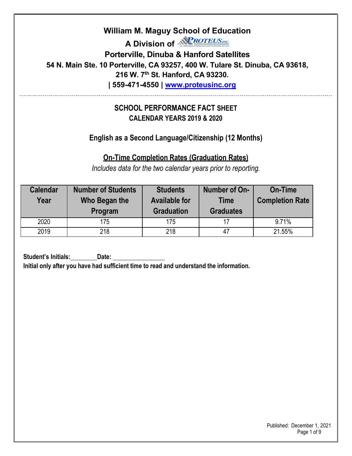**A Division of <b>***RROTEUSINC*</del>

**Porterville, Dinuba & Hanford Satellites**

**54 N. Main Ste. 10 Porterville, CA 93257, 400 W. Tulare St. Dinuba, CA 93618,** 

**216 W. 7th St. Hanford, CA 93230.**

**| 559-471-4550 | [www.proteusinc.org](http://www.proteusinc.org/)**

### **SCHOOL PERFORMANCE FACT SHEET CALENDAR YEARS 2019 & 2020**

**English as a Second Language/Citizenship (12 Months)**

**On-Time Completion Rates (Graduation Rates)**

*Includes data for the two calendar years prior to reporting.*

| <b>Calendar</b><br>Year | <b>Number of Students</b><br>Who Began the<br>Program | <b>Students</b><br><b>Available for</b><br><b>Graduation</b> | Number of On-<br><b>Time</b><br><b>Graduates</b> | On-Time<br><b>Completion Rate</b> |
|-------------------------|-------------------------------------------------------|--------------------------------------------------------------|--------------------------------------------------|-----------------------------------|
| 2020                    | 175                                                   | 175                                                          |                                                  | 9.71%                             |
| 2019                    | 218                                                   | 218                                                          | 47                                               | 21.55%                            |

**Student's Initials: Date: Initial only after you have had sufficient time to read and understand the information.** 

> Published: December 1, 2021 Page 1 of 9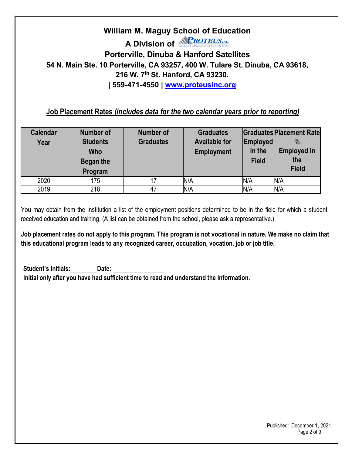**A Division of** *<u>NPROTEUSINC*</mark></u>

**Porterville, Dinuba & Hanford Satellites**

**54 N. Main Ste. 10 Porterville, CA 93257, 400 W. Tulare St. Dinuba, CA 93618,** 

**216 W. 7th St. Hanford, CA 93230.**

**| 559-471-4550 | [www.proteusinc.org](http://www.proteusinc.org/)**

#### **Job Placement Rates** *(includes data for the two calendar years prior to reporting)*

| <b>Calendar</b><br>Year | Number of<br><b>Students</b><br><b>Who</b><br>Began the<br>Program | <b>Number of</b><br><b>Graduates</b> | <b>Graduates</b><br><b>Available for</b><br><b>Employment</b> | Employed<br>in the<br><b>Field</b> | <b>Graduates Placement Rate</b><br>$\frac{0}{0}$<br><b>Employed in</b><br>the<br><b>Field</b> |
|-------------------------|--------------------------------------------------------------------|--------------------------------------|---------------------------------------------------------------|------------------------------------|-----------------------------------------------------------------------------------------------|
| 2020                    | 175                                                                |                                      | N/A                                                           | N/A                                | N/A                                                                                           |
| 2019                    | 218                                                                | 47                                   | N/A                                                           | N/A                                | N/A                                                                                           |

You may obtain from the institution a list of the employment positions determined to be in the field for which a student received education and training. (A list can be obtained from the school, please ask a representative.)

**Job placement rates do not apply to this program. This program is not vocational in nature. We make no claim that this educational program leads to any recognized career, occupation, vocation, job or job title.**

**Student's Initials: Date: Initial only after you have had sufficient time to read and understand the information.**

> Published: December 1, 2021 Page 2 of 9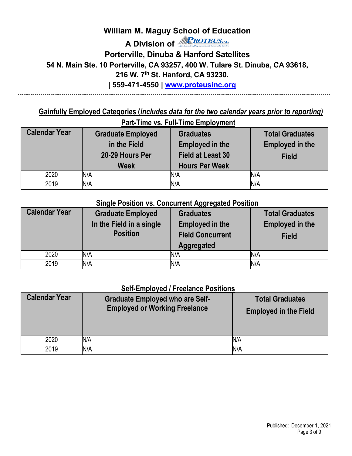# **William M. Maguy School of Education A Division of <b>***RROTEUSINC*</mark> **Porterville, Dinuba & Hanford Satellites 54 N. Main Ste. 10 Porterville, CA 93257, 400 W. Tulare St. Dinuba, CA 93618, 216 W. 7th St. Hanford, CA 93230. | 559-471-4550 | [www.proteusinc.org](http://www.proteusinc.org/)**

#### **Gainfully Employed Categories (***includes data for the two calendar years prior to reporting)* **Part-Time vs. Full-Time Employment**

| <b>Calendar Year</b> | <b>Graduate Employed</b> | <b>Graduates</b>         | <b>Total Graduates</b> |  |  |  |  |
|----------------------|--------------------------|--------------------------|------------------------|--|--|--|--|
|                      | in the Field             | <b>Employed in the</b>   | <b>Employed in the</b> |  |  |  |  |
|                      | 20-29 Hours Per          | <b>Field at Least 30</b> | <b>Field</b>           |  |  |  |  |
|                      | <b>Week</b>              | <b>Hours Per Week</b>    |                        |  |  |  |  |
| 2020                 | N/A                      | N/A                      | N/A                    |  |  |  |  |
| 2019                 | N/A                      | N/A                      | N/A                    |  |  |  |  |

#### **Single Position vs. Concurrent Aggregated Position**

| <b>Calendar Year</b> | <b>Graduate Employed</b><br>In the Field in a single<br><b>Position</b> | <b>Graduates</b><br><b>Employed in the</b><br><b>Field Concurrent</b><br><b>Aggregated</b> | <b>Total Graduates</b><br><b>Employed in the</b><br><b>Field</b> |
|----------------------|-------------------------------------------------------------------------|--------------------------------------------------------------------------------------------|------------------------------------------------------------------|
| 2020                 | N/A                                                                     | N/A                                                                                        | N/A                                                              |
| 2019                 | N/A                                                                     | N/A                                                                                        | N/A                                                              |

#### **Self-Employed / Freelance Positions**

| <b>Calendar Year</b> | <b>Graduate Employed who are Self-</b><br><b>Employed or Working Freelance</b> | <b>Total Graduates</b><br><b>Employed in the Field</b> |
|----------------------|--------------------------------------------------------------------------------|--------------------------------------------------------|
| 2020                 | N/A                                                                            | N/A                                                    |
| 2019                 | N/A                                                                            | N/A                                                    |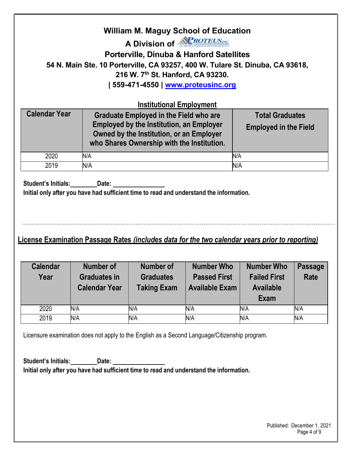#### **William M. Maguy School of Education A Division of** *<u>NPROTEUSINC*</mark></u> **Porterville, Dinuba & Hanford Satellites 54 N. Main Ste. 10 Porterville, CA 93257, 400 W. Tulare St. Dinuba, CA 93618, 216 W. 7th St. Hanford, CA 93230. | 559-471-4550 | [www.proteusinc.org](http://www.proteusinc.org/) Institutional Employment Calendar Year Graduate Employed in the Field who are Employed by the Institution, an Employer Owned by the Institution, or an Employer who Shares Ownership with the Institution. Total Graduates Employed in the Field**  2020 N/A N/A 2019 N/A N/A **Student's Initials: Date: Initial only after you have had sufficient time to read and understand the information. License Examination Passage Rates** *(includes data for the two calendar years prior to reporting)* **Calendar Year Number of Graduates in Calendar Year Number of Graduates Taking Exam Number Who Passed First Available Exam Number Who Failed First Available Exam Passage Rate** 2020 N/A N/A N/A N/A N/A 2019 N/A N/A N/A N/A N/A

Licensure examination does not apply to the English as a Second Language/Citizenship program.

**Student's Initials: Date: Initial only after you have had sufficient time to read and understand the information.**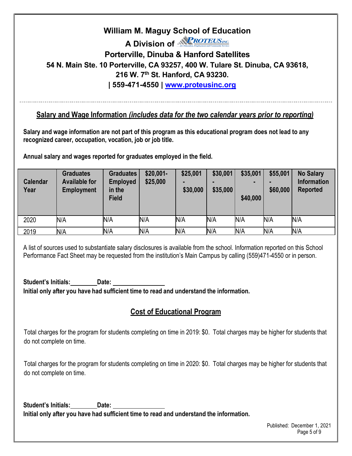# **William M. Maguy School of Education A Division of NPROTEUS**ME **Porterville, Dinuba & Hanford Satellites 54 N. Main Ste. 10 Porterville, CA 93257, 400 W. Tulare St. Dinuba, CA 93618, 216 W. 7th St. Hanford, CA 93230. | 559-471-4550 | [www.proteusinc.org](http://www.proteusinc.org/)**

#### **Salary and Wage Information** *(includes data for the two calendar years prior to reporting)*

**Salary and wage information are not part of this program as this educational program does not lead to any recognized career, occupation, vocation, job or job title.**

**Annual salary and wages reported for graduates employed in the field.**

| <b>Calendar</b><br>Year | <b>Graduates</b><br><b>Available for</b><br><b>Employment</b> | <b>Graduates</b><br><b>Employed</b><br>in the<br><b>Field</b> | $$20,001-$<br>\$25,000 | \$25,001<br>\$30,000 | \$30,001<br>\$35,000 | \$35,001<br>-<br>\$40,000 | \$55,001<br>\$60,000 | <b>No Salary</b><br><b>Information</b><br><b>Reported</b> |
|-------------------------|---------------------------------------------------------------|---------------------------------------------------------------|------------------------|----------------------|----------------------|---------------------------|----------------------|-----------------------------------------------------------|
| 2020                    | N/A                                                           | N/A                                                           | N/A                    | N/A                  | N/A                  | N/A                       | N/A                  | N/A                                                       |
| 2019                    | N/A                                                           | N/A                                                           | N/A                    | N/A                  | N/A                  | N/A                       | N/A                  | N/A                                                       |

A list of sources used to substantiate salary disclosures is available from the school. Information reported on this School Performance Fact Sheet may be requested from the institution's Main Campus by calling (559)471-4550 or in person.

**Student's Initials: Date: Initial only after you have had sufficient time to read and understand the information.**

### **Cost of Educational Program**

Total charges for the program for students completing on time in 2019: \$0. Total charges may be higher for students that do not complete on time.

Total charges for the program for students completing on time in 2020: \$0. Total charges may be higher for students that do not complete on time.

**Student's Initials: Date: Initial only after you have had sufficient time to read and understand the information.**

> Published: December 1, 2021 Page 5 of 9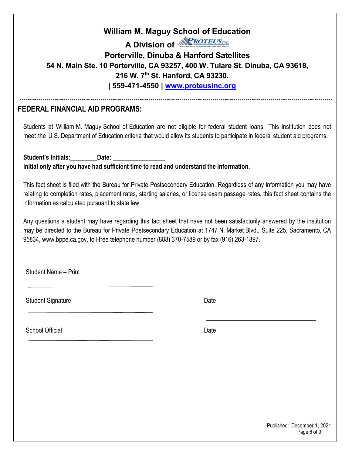**A Division of** *<u>RROTEUSINC*</mark></u>

## **Porterville, Dinuba & Hanford Satellites 54 N. Main Ste. 10 Porterville, CA 93257, 400 W. Tulare St. Dinuba, CA 93618, 216 W. 7th St. Hanford, CA 93230. | 559-471-4550 | [www.proteusinc.org](http://www.proteusinc.org/)**

**FEDERAL FINANCIAL AID PROGRAMS:**

Students at William M. Maguy School of Education are not eligible for federal student loans. This institution does not meet the U.S. Department of Education criteria that would allow its students to participate in federal student aid programs.

**Student's Initials: Date: Initial only after you have had sufficient time to read and understand the information.**

This fact sheet is filed with the Bureau for Private Postsecondary Education. Regardless of any information you may have relating to completion rates, placement rates, starting salaries, or license exam passage rates, this fact sheet contains the information as calculated pursuant to state law.

Any questions a student may have regarding this fact sheet that have not been satisfactorily answered by the institution may be directed to the Bureau for Private Postsecondary Education at 1747 N. Market Blvd., Suite 225, Sacramento, CA 95834, [www.bppe.ca.gov,](http://www.bppe.ca.gov/) toll-free telephone number (888) 370-7589 or by fax (916) 263-1897.

Student Name – Print

Student Signature Date Date Controllers and Date Date Date

School Official Date Control of the Control of the Date Date Date

 Published: December 1, 2021 Page 6 of 9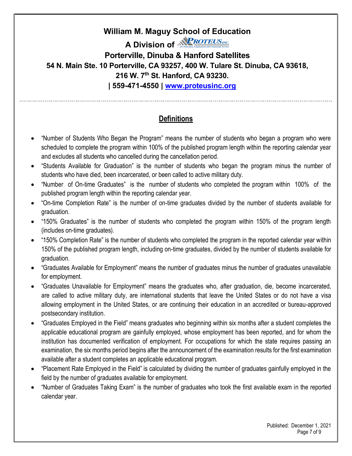**A Division of** *<u>RROTEUSINC*</del></u>

**Porterville, Dinuba & Hanford Satellites 54 N. Main Ste. 10 Porterville, CA 93257, 400 W. Tulare St. Dinuba, CA 93618, 216 W. 7th St. Hanford, CA 93230. | 559-471-4550 | [www.proteusinc.org](http://www.proteusinc.org/)**

### **Definitions**

- "Number of Students Who Began the Program" means the number of students who began a program who were scheduled to complete the program within 100% of the published program length within the reporting calendar year and excludes all students who cancelled during the cancellation period.
- "Students Available for Graduation" is the number of students who began the program minus the number of students who have died, been incarcerated, or been called to active military duty.
- "Number of On-time Graduates" is the number of students who completed the program within 100% of the published program length within the reporting calendar year.
- "On-time Completion Rate" is the number of on-time graduates divided by the number of students available for graduation.
- "150% Graduates" is the number of students who completed the program within 150% of the program length (includes on-time graduates).
- "150% Completion Rate" is the number of students who completed the program in the reported calendar year within 150% of the published program length, including on-time graduates, divided by the number of students available for graduation.
- "Graduates Available for Employment" means the number of graduates minus the number of graduates unavailable for employment.
- "Graduates Unavailable for Employment" means the graduates who, after graduation, die, become incarcerated, are called to active military duty, are international students that leave the United States or do not have a visa allowing employment in the United States, or are continuing their education in an accredited or bureau-approved postsecondary institution.
- "Graduates Employed in the Field" means graduates who beginning within six months after a student completes the applicable educational program are gainfully employed, whose employment has been reported, and for whom the institution has documented verification of employment. For occupations for which the state requires passing an examination, the six months period begins after the announcement of the examination results for the first examination available after a student completes an applicable educational program.
- "Placement Rate Employed in the Field" is calculated by dividing the number of graduates gainfully employed in the field by the number of graduates available for employment.
- "Number of Graduates Taking Exam" is the number of graduates who took the first available exam in the reported calendar year.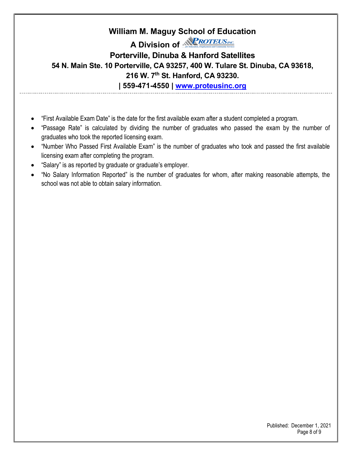## **William M. Maguy School of Education A Division of NPROTEUS**ME **Porterville, Dinuba & Hanford Satellites 54 N. Main Ste. 10 Porterville, CA 93257, 400 W. Tulare St. Dinuba, CA 93618, 216 W. 7th St. Hanford, CA 93230. | 559-471-4550 | [www.proteusinc.org](http://www.proteusinc.org/)**

- "First Available Exam Date" is the date for the first available exam after a student completed a program.
- "Passage Rate" is calculated by dividing the number of graduates who passed the exam by the number of graduates who took the reported licensing exam.
- "Number Who Passed First Available Exam" is the number of graduates who took and passed the first available licensing exam after completing the program.
- "Salary" is as reported by graduate or graduate's employer.
- "No Salary Information Reported" is the number of graduates for whom, after making reasonable attempts, the school was not able to obtain salary information.